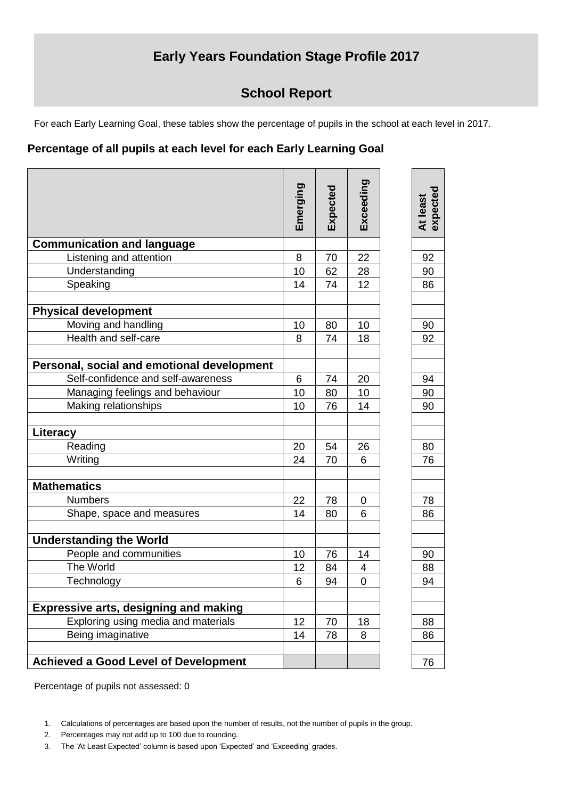## **Early Years Foundation Stage Profile 2017**

## **School Report**

For each Early Learning Goal, these tables show the percentage of pupils in the school at each level in 2017.

## **Percentage of all pupils at each level for each Early Learning Goal**

|                                              | Emerging | Expected | Exceeding | expected<br>At least |
|----------------------------------------------|----------|----------|-----------|----------------------|
| <b>Communication and language</b>            |          |          |           |                      |
| Listening and attention                      | 8        | 70       | 22        | 92                   |
| Understanding                                | 10       | 62       | 28        | 90                   |
| Speaking                                     | 14       | 74       | 12        | 86                   |
| <b>Physical development</b>                  |          |          |           |                      |
| Moving and handling                          | 10       | 80       | 10        | 90                   |
| Health and self-care                         | 8        | 74       | 18        | 92                   |
| Personal, social and emotional development   |          |          |           |                      |
| Self-confidence and self-awareness           | 6        | 74       | 20        | 94                   |
| Managing feelings and behaviour              | 10       | 80       | 10        | 90                   |
| Making relationships                         | 10       | 76       | 14        | 90                   |
| Literacy                                     |          |          |           |                      |
| Reading                                      | 20       | 54       | 26        | 80                   |
| Writing                                      | 24       | 70       | 6         | 76                   |
| <b>Mathematics</b>                           |          |          |           |                      |
| <b>Numbers</b>                               | 22       | 78       | 0         | 78                   |
| Shape, space and measures                    | 14       | 80       | 6         | 86                   |
| <b>Understanding the World</b>               |          |          |           |                      |
| People and communities                       | 10       | 76       | 14        | 90                   |
| The World                                    | 12       | 84       | 4         | 88                   |
| Technology                                   | 6        | 94       | 0         | 94                   |
|                                              |          |          |           |                      |
| <b>Expressive arts, designing and making</b> |          |          |           |                      |
| Exploring using media and materials          | 12       | 70       | 18        | 88                   |
| Being imaginative                            | 14       | 78       | 8         | 86                   |
| <b>Achieved a Good Level of Development</b>  |          |          |           | 76                   |

Percentage of pupils not assessed: 0

3. The 'At Least Expected' column is based upon 'Expected' and 'Exceeding' grades.

<sup>1.</sup> Calculations of percentages are based upon the number of results, not the number of pupils in the group.

<sup>2.</sup> Percentages may not add up to 100 due to rounding.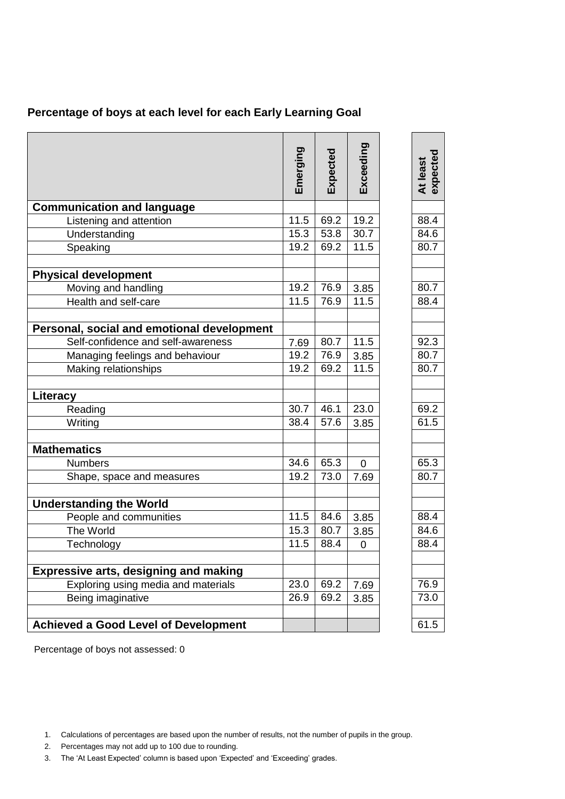| Percentage of boys at each level for each Early Learning Goal |
|---------------------------------------------------------------|
|---------------------------------------------------------------|

|                                              | Emerging | Expected | Exceeding      | expected<br>At least |
|----------------------------------------------|----------|----------|----------------|----------------------|
| <b>Communication and language</b>            |          |          |                |                      |
| Listening and attention                      | 11.5     | 69.2     | 19.2           | 88.4                 |
| Understanding                                | 15.3     | 53.8     | 30.7           | 84.6                 |
| Speaking                                     | 19.2     | 69.2     | 11.5           | 80.7                 |
| <b>Physical development</b>                  |          |          |                |                      |
| Moving and handling                          | 19.2     | 76.9     | 3.85           | 80.7                 |
| Health and self-care                         | 11.5     | 76.9     | 11.5           | 88.4                 |
| Personal, social and emotional development   |          |          |                |                      |
| Self-confidence and self-awareness           | 7.69     | 80.7     | 11.5           | 92.3                 |
| Managing feelings and behaviour              | 19.2     | 76.9     | 3.85           | 80.7                 |
| Making relationships                         | 19.2     | 69.2     | 11.5           | 80.7                 |
| Literacy                                     |          |          |                |                      |
| Reading                                      | 30.7     | 46.1     | 23.0           | 69.2                 |
| Writing                                      | 38.4     | 57.6     | 3.85           | 61.5                 |
| <b>Mathematics</b>                           |          |          |                |                      |
| <b>Numbers</b>                               | 34.6     | 65.3     | $\overline{0}$ | 65.3                 |
| Shape, space and measures                    | 19.2     | 73.0     | 7.69           | 80.7                 |
| <b>Understanding the World</b>               |          |          |                |                      |
| People and communities                       | 11.5     | 84.6     | 3.85           | 88.4                 |
| The World                                    | 15.3     | 80.7     | 3.85           | 84.6                 |
| Technology                                   | 11.5     | 88.4     | $\mathbf 0$    | 88.4                 |
| <b>Expressive arts, designing and making</b> |          |          |                |                      |
| Exploring using media and materials          | 23.0     | 69.2     | 7.69           | 76.9                 |
| Being imaginative                            | 26.9     | 69.2     | 3.85           | 73.0                 |
|                                              |          |          |                |                      |
| <b>Achieved a Good Level of Development</b>  |          |          |                | 61.5                 |

Percentage of boys not assessed: 0

- 2. Percentages may not add up to 100 due to rounding.
- 3. The 'At Least Expected' column is based upon 'Expected' and 'Exceeding' grades.

<sup>1.</sup> Calculations of percentages are based upon the number of results, not the number of pupils in the group.